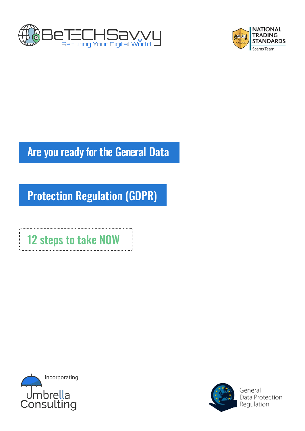



# Are you ready for the General Data

# Protection Regulation (GDPR)

12 steps to take NOW



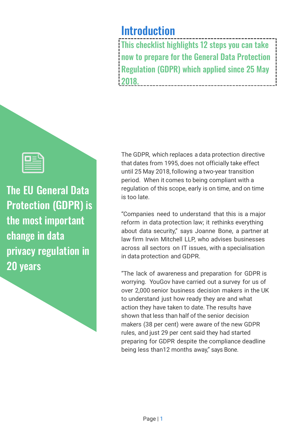# Introduction

This checklist highlights 12 steps you can take now to prepare for the General Data Protection Regulation (GDPR) which applied since 25 May 2018.

The EU General Data Protection (GDPR) is

the most important change in data privacy regulation in 20 years

The GDPR, which replaces a data protection directive that dates from 1995, does not officially take effect until 25 May 2018,following a two-year transition period. When it comes to being compliant with a regulation of this scope, early is on time, and on time is too late.

"Companies need to understand that this is a major reform in data protection law; it rethinks everything about data security," says Joanne Bone, a partner at law firm Irwin Mitchell LLP, who advises businesses across all sectors on IT issues, with a specialisation in data protection and GDPR.

"The lack of awareness and preparation for GDPR is worrying. YouGov have carried out a survey for us of over 2,000 senior business decision makers in the UK to understand just how ready they are and what action they have taken to date. The results have shown that less than half of the senior decision makers (38 per cent) were aware of the new GDPR rules, and just 29 per cent said they had started preparing for GDPR despite the compliance deadline being less than12 months away," says Bone.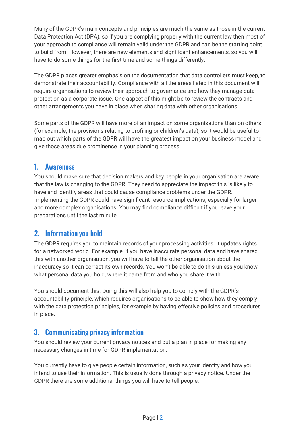Many of the GDPR's main concepts and principles are much the same as those in the current Data Protection Act (DPA), so if you are complying properly with the current law then most of your approach to compliance will remain valid under the GDPR and can be the starting point to build from. However, there are new elements and significant enhancements, so you will have to do some things for the first time and some things differently.

The GDPR places greater emphasis on the documentation that data controllers must keep, to demonstrate their accountability. Compliance with all the areas listed in this document will require organisations to review their approach to governance and how they manage data protection as a corporate issue. One aspect of this might be to review the contracts and other arrangements you have in place when sharing data with other organisations.

Some parts of the GDPR will have more of an impact on some organisations than on others (for example, the provisions relating to profiling or children's data), so it would be useful to map out which parts of the GDPR will have the greatest impact on your business model and give those areas due prominence in your planning process.

#### 1. Awareness

You should make sure that decision makers and key people in your organisation are aware that the law is changing to the GDPR. They need to appreciate the impact this is likely to have and identify areas that could cause compliance problems under the GDPR. Implementing the GDPR could have significant resource implications, especially for larger and more complex organisations. You may find compliance difficult if you leave your preparations until the last minute.

# 2. Information you hold

The GDPR requires you to maintain records of your processing activities. It updates rights for a networked world. For example, if you have inaccurate personal data and have shared this with another organisation, you will have to tell the other organisation about the inaccuracy so it can correct its own records. You won't be able to do this unless you know what personal data you hold, where it came from and who you share it with.

You should document this. Doing this will also help you to comply with the GDPR's accountability principle, which requires organisations to be able to show how they comply with the data protection principles, for example by having effective policies and procedures in place.

# 3. Communicating privacy information

You should review your current privacy notices and put a plan in place for making any necessary changes in time for GDPR implementation.

You currently have to give people certain information, such as your identity and how you intend to use their information. This is usually done through a privacy notice. Under the GDPR there are some additional things you will have to tell people.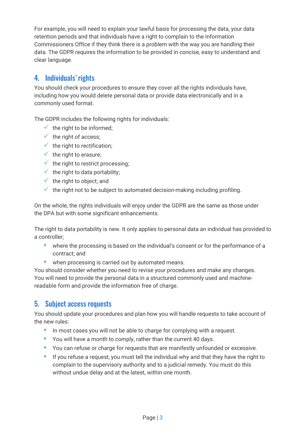For example, you will need to explain your lawful basis for processing the data, your data retention periods and that individuals have a right to complain to the Information Commissioners Office if they think there is a problem with the way you are handling their data. The GDPR requires the information to be provided in concise, easy to understand and clear language.

# 4. Individuals' rights

You should check your procedures to ensure they cover all the rights individuals have, including how you would delete personal data or provide data electronically and in a commonly used format.

The GDPR includes the following rights for individuals:

- $\checkmark$  the right to be informed;
- $\checkmark$  the right of access;
- $\checkmark$  the right to rectification;
- $\checkmark$  the right to erasure:
- $\checkmark$  the right to restrict processing;
- $\checkmark$  the right to data portability;
- $\checkmark$  the right to object; and
- $\checkmark$  the right not to be subject to automated decision-making including profiling.

On the whole, the rights individuals will enjoy under the GDPR are the same as those under the DPA but with some significant enhancements.

The right to data portability is new. It only applies to personal data an individual has provided to a controller;

- **·** where the processing is based on the individual's consent or for the performance of a contract; and
- when processing is carried out by automated means.

You should consider whether you need to revise your procedures and make any changes. You will need to provide the personal data in a structured commonly used and machinereadable form and provide the information free of charge.

#### 5. Subject access requests

You should update your procedures and plan how you will handle requests to take account of the new rules:

- **IF** In most cases you will not be able to charge for complying with a request.
- You will have a month to comply, rather than the current 40 days.
- You can refuse or charge for requests that are manifestly unfounded or excessive.
- **EXT** If you refuse a request, you must tell the individual why and that they have the right to complain to the supervisory authority and to a judicial remedy. You must do this without undue delay and at the latest, within one month.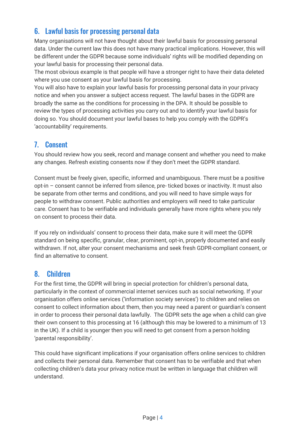# 6. Lawful basis for processing personal data

Many organisations will not have thought about their lawful basis for processing personal data. Under the current law this does not have many practical implications. However, this will be different under the GDPR because some individuals' rights will be modified depending on your lawful basis for processing their personal data.

The most obvious example is that people will have a stronger right to have their data deleted where you use consent as your lawful basis for processing.

You will also have to explain your lawful basis for processing personal data in your privacy notice and when you answer a subject access request. The lawful bases in the GDPR are broadly the same as the conditions for processing in the DPA. It should be possible to review the types of processing activities you carry out and to identify your lawful basis for doing so. You should document your lawful bases to help you comply with the GDPR's 'accountability' requirements.

#### 7. Consent

You should review how you seek, record and manage consent and whether you need to make any changes. Refresh existing consents now if they don't meet the GDPR standard.

Consent must be freely given, specific, informed and unambiguous. There must be a positive opt-in – consent cannot be inferred from silence, pre- ticked boxes or inactivity. It must also be separate from other terms and conditions, and you will need to have simple ways for people to withdraw consent. Public authorities and employers will need to take particular care. Consent has to be verifiable and individuals generally have more rights where you rely on consent to process their data.

If you rely on individuals' consent to process their data, make sure it will meet the GDPR standard on being specific, granular, clear, prominent, opt-in, properly documented and easily withdrawn. If not, alter your consent mechanisms and seek fresh GDPR-compliant consent, or find an alternative to consent.

#### 8. Children

For the first time, the GDPR will bring in special protection for children's personal data, particularly in the context of commercial internet services such as social networking. If your organisation offers online services ('information society services') to children and relies on consent to collect information about them, then you may need a parent or guardian's consent in order to process their personal data lawfully. The GDPR sets the age when a child can give their own consent to this processing at 16 (although this may be lowered to a minimum of 13 in the UK). If a child is younger then you will need to get consent from a person holding 'parental responsibility'.

This could have significant implications if your organisation offers online services to children and collects their personal data. Remember that consent has to be verifiable and that when collecting children's data your privacy notice must be written in language that children will understand.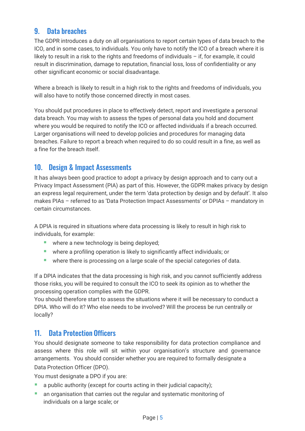# 9. Data breaches

The GDPR introduces a duty on all organisations to report certain types of data breach to the ICO, and in some cases, to individuals. You only have to notify the ICO of a breach where it is likely to result in a risk to the rights and freedoms of individuals – if, for example, it could result in discrimination, damage to reputation, financial loss, loss of confidentiality or any other significant economic or social disadvantage.

Where a breach is likely to result in a high risk to the rights and freedoms of individuals, you will also have to notify those concerned directly in most cases.

You should put procedures in place to effectively detect, report and investigate a personal data breach. You may wish to assess the types of personal data you hold and document where you would be required to notify the ICO or affected individuals if a breach occurred. Larger organisations will need to develop policies and procedures for managing data breaches. Failure to report a breach when required to do so could result in a fine, as well as a fine for the breach itself.

# 10. Design & Impact Assessments

It has always been good practice to adopt a privacy by design approach and to carry out a Privacy Impact Assessment (PIA) as part of this. However, the GDPR makes privacy by design an express legal requirement, under the term 'data protection by design and by default'. It also makes PIAs – referred to as 'Data Protection Impact Assessments' or DPIAs – mandatory in certain circumstances.

A DPIA is required in situations where data processing is likely to result in high risk to individuals, for example:

- **E** where a new technology is being deployed;
- where a profiling operation is likely to significantly affect individuals; or
- where there is processing on a large scale of the special categories of data.

If a DPIA indicates that the data processing is high risk, and you cannot sufficiently address those risks, you will be required to consult the ICO to seek its opinion as to whether the processing operation complies with the GDPR.

You should therefore start to assess the situations where it will be necessary to conduct a DPIA. Who will do it? Who else needs to be involved? Will the process be run centrally or locally?

# 11. Data Protection Officers

You should designate someone to take responsibility for data protection compliance and assess where this role will sit within your organisation's structure and governance arrangements. You should consider whether you are required to formally designate a Data Protection Officer (DPO).

You must designate a DPO if you are:

- a public authority (except for courts acting in their judicial capacity);
- an organisation that carries out the regular and systematic monitoring of individuals on a large scale; or